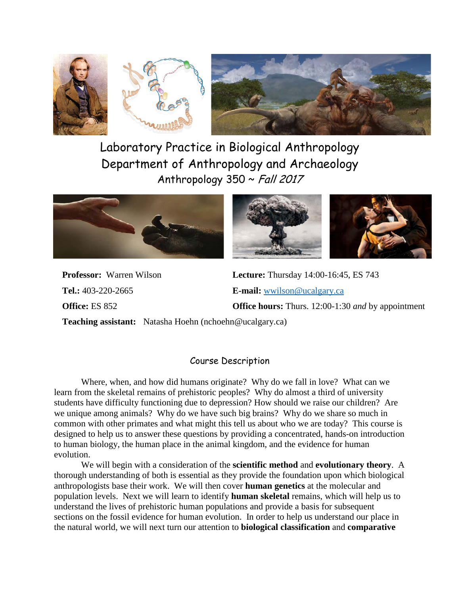



Laboratory Practice in Biological Anthropology Department of Anthropology and Archaeology Anthropology 350 ~ Fall 2017





**Tel.:** 403-220-2665 **E-mail:** [wwilson@ucalgary.ca](mailto:wwilson@ucalgary.ca)

**Professor:** Warren Wilson **Lecture:** Thursday 14:00-16:45, ES 743 **Office:** ES 852 **Office hours:** Thurs. 12:00-1:30 *and* by appointment

**Teaching assistant:** Natasha Hoehn (nchoehn@ucalgary.ca)

#### Course Description

Where, when, and how did humans originate? Why do we fall in love? What can we learn from the skeletal remains of prehistoric peoples? Why do almost a third of university students have difficulty functioning due to depression? How should we raise our children? Are we unique among animals? Why do we have such big brains? Why do we share so much in common with other primates and what might this tell us about who we are today? This course is designed to help us to answer these questions by providing a concentrated, hands-on introduction to human biology, the human place in the animal kingdom, and the evidence for human evolution.

We will begin with a consideration of the **scientific method** and **evolutionary theory**. A thorough understanding of both is essential as they provide the foundation upon which biological anthropologists base their work. We will then cover **human genetics** at the molecular and population levels. Next we will learn to identify **human skeletal** remains, which will help us to understand the lives of prehistoric human populations and provide a basis for subsequent sections on the fossil evidence for human evolution. In order to help us understand our place in the natural world, we will next turn our attention to **biological classification** and **comparative**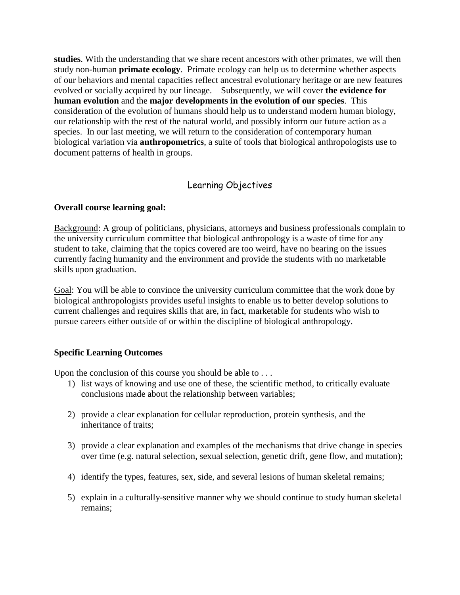**studies**. With the understanding that we share recent ancestors with other primates, we will then study non-human **primate ecology**. Primate ecology can help us to determine whether aspects of our behaviors and mental capacities reflect ancestral evolutionary heritage or are new features evolved or socially acquired by our lineage. Subsequently, we will cover **the evidence for human evolution** and the **major developments in the evolution of our species**. This consideration of the evolution of humans should help us to understand modern human biology, our relationship with the rest of the natural world, and possibly inform our future action as a species. In our last meeting, we will return to the consideration of contemporary human biological variation via **anthropometrics**, a suite of tools that biological anthropologists use to document patterns of health in groups.

## Learning Objectives

#### **Overall course learning goal:**

Background: A group of politicians, physicians, attorneys and business professionals complain to the university curriculum committee that biological anthropology is a waste of time for any student to take, claiming that the topics covered are too weird, have no bearing on the issues currently facing humanity and the environment and provide the students with no marketable skills upon graduation.

Goal: You will be able to convince the university curriculum committee that the work done by biological anthropologists provides useful insights to enable us to better develop solutions to current challenges and requires skills that are, in fact, marketable for students who wish to pursue careers either outside of or within the discipline of biological anthropology.

#### **Specific Learning Outcomes**

Upon the conclusion of this course you should be able to . . .

- 1) list ways of knowing and use one of these, the scientific method, to critically evaluate conclusions made about the relationship between variables;
- 2) provide a clear explanation for cellular reproduction, protein synthesis, and the inheritance of traits;
- 3) provide a clear explanation and examples of the mechanisms that drive change in species over time (e.g. natural selection, sexual selection, genetic drift, gene flow, and mutation);
- 4) identify the types, features, sex, side, and several lesions of human skeletal remains;
- 5) explain in a culturally-sensitive manner why we should continue to study human skeletal remains;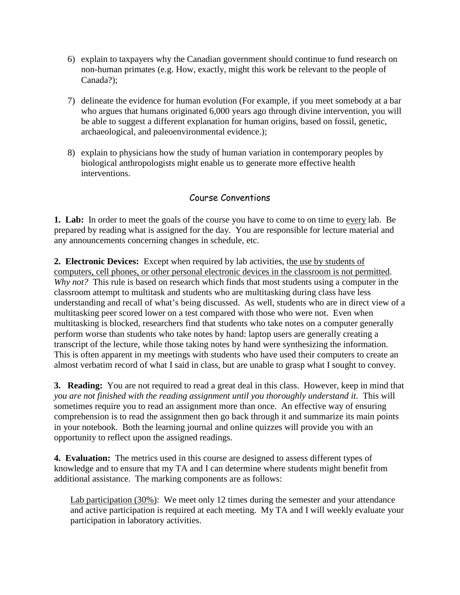- 6) explain to taxpayers why the Canadian government should continue to fund research on non-human primates (e.g. How, exactly, might this work be relevant to the people of Canada?);
- 7) delineate the evidence for human evolution (For example, if you meet somebody at a bar who argues that humans originated 6,000 years ago through divine intervention, you will be able to suggest a different explanation for human origins, based on fossil, genetic, archaeological, and paleoenvironmental evidence.);
- 8) explain to physicians how the study of human variation in contemporary peoples by biological anthropologists might enable us to generate more effective health interventions.

# Course Conventions

**1. Lab:**In order to meet the goals of the course you have to come to on time to every lab. Be prepared by reading what is assigned for the day. You are responsible for lecture material and any announcements concerning changes in schedule, etc.

**2. Electronic Devices:** Except when required by lab activities, the use by students of computers, cell phones, or other personal electronic devices in the classroom is not permitted. *Why not?* This rule is based on research which finds that most students using a computer in the classroom attempt to multitask and students who are multitasking during class have less understanding and recall of what's being discussed. As well, students who are in direct view of a multitasking peer scored lower on a test compared with those who were not. Even when multitasking is blocked, researchers find that students who take notes on a computer generally perform worse than students who take notes by hand: laptop users are generally creating a transcript of the lecture, while those taking notes by hand were synthesizing the information. This is often apparent in my meetings with students who have used their computers to create an almost verbatim record of what I said in class, but are unable to grasp what I sought to convey.

**3. Reading:** You are not required to read a great deal in this class. However, keep in mind that *you are not finished with the reading assignment until you thoroughly understand it*. This will sometimes require you to read an assignment more than once. An effective way of ensuring comprehension is to read the assignment then go back through it and summarize its main points in your notebook. Both the learning journal and online quizzes will provide you with an opportunity to reflect upon the assigned readings.

**4. Evaluation:** The metrics used in this course are designed to assess different types of knowledge and to ensure that my TA and I can determine where students might benefit from additional assistance. The marking components are as follows:

Lab participation (30%): We meet only 12 times during the semester and your attendance and active participation is required at each meeting. My TA and I will weekly evaluate your participation in laboratory activities.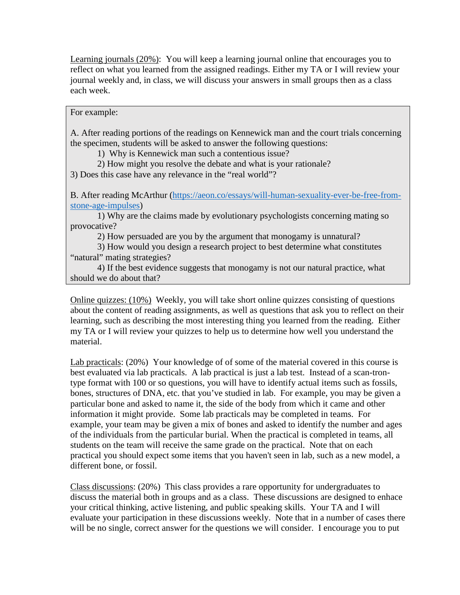Learning journals (20%): You will keep a learning journal online that encourages you to reflect on what you learned from the assigned readings. Either my TA or I will review your journal weekly and, in class, we will discuss your answers in small groups then as a class each week.

For example:

A. After reading portions of the readings on Kennewick man and the court trials concerning the specimen, students will be asked to answer the following questions:

1) Why is Kennewick man such a contentious issue?

2) How might you resolve the debate and what is your rationale?

3) Does this case have any relevance in the "real world"?

B. After reading McArthur [\(https://aeon.co/essays/will-human-sexuality-ever-be-free-from](https://aeon.co/essays/will-human-sexuality-ever-be-free-from-stone-age-impulses)[stone-age-impulses\)](https://aeon.co/essays/will-human-sexuality-ever-be-free-from-stone-age-impulses)

1) Why are the claims made by evolutionary psychologists concerning mating so provocative?

2) How persuaded are you by the argument that monogamy is unnatural?

3) How would you design a research project to best determine what constitutes "natural" mating strategies?

4) If the best evidence suggests that monogamy is not our natural practice, what should we do about that?

Online quizzes: (10%) Weekly, you will take short online quizzes consisting of questions about the content of reading assignments, as well as questions that ask you to reflect on their learning, such as describing the most interesting thing you learned from the reading. Either my TA or I will review your quizzes to help us to determine how well you understand the material.

Lab practicals: (20%) Your knowledge of of some of the material covered in this course is best evaluated via lab practicals. A lab practical is just a lab test. Instead of a scan-trontype format with 100 or so questions, you will have to identify actual items such as fossils, bones, structures of DNA, etc. that you've studied in lab. For example, you may be given a particular bone and asked to name it, the side of the body from which it came and other information it might provide. Some lab practicals may be completed in teams. For example, your team may be given a mix of bones and asked to identify the number and ages of the individuals from the particular burial. When the practical is completed in teams, all students on the team will receive the same grade on the practical. Note that on each practical you should expect some items that you haven't seen in lab, such as a new model, a different bone, or fossil.

Class discussions: (20%) This class provides a rare opportunity for undergraduates to discuss the material both in groups and as a class. These discussions are designed to enhace your critical thinking, active listening, and public speaking skills. Your TA and I will evaluate your participation in these discussions weekly. Note that in a number of cases there will be no single, correct answer for the questions we will consider. I encourage you to put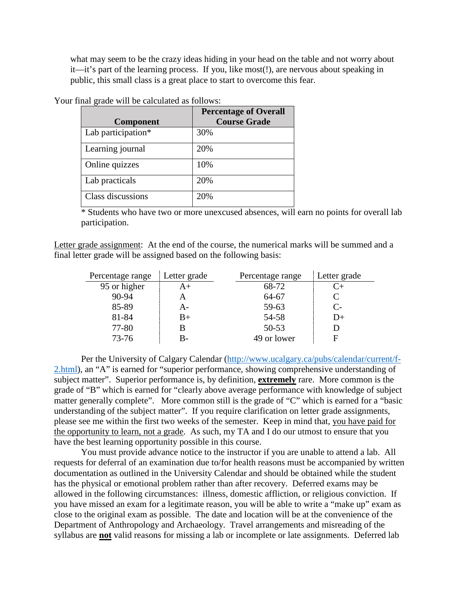what may seem to be the crazy ideas hiding in your head on the table and not worry about it—it's part of the learning process. If you, like most(!), are nervous about speaking in public, this small class is a great place to start to overcome this fear.

| <b>Component</b>   | <b>Percentage of Overall</b><br><b>Course Grade</b> |
|--------------------|-----------------------------------------------------|
| Lab participation* | 30%                                                 |
| Learning journal   | 20%                                                 |
| Online quizzes     | 10%                                                 |
| Lab practicals     | 20%                                                 |
| Class discussions  | 20%                                                 |

Your final grade will be calculated as follows:

\* Students who have two or more unexcused absences, will earn no points for overall lab participation.

Letter grade assignment: At the end of the course, the numerical marks will be summed and a final letter grade will be assigned based on the following basis:

| Percentage range | Letter grade | Percentage range | Letter grade         |
|------------------|--------------|------------------|----------------------|
| 95 or higher     | A+           | 68-72            | $C_{\pm}$            |
| 90-94            |              | 64-67            | C                    |
| 85-89            | А-           | 59-63            | $\mathsf{C}\text{-}$ |
| 81-84            | B+           | 54-58            | D+                   |
| 77-80            |              | $50 - 53$        |                      |
| $73 - 76$        | B-           | 49 or lower      |                      |

Per the University of Calgary Calendar [\(http://www.ucalgary.ca/pubs/calendar/current/f-](http://www.ucalgary.ca/pubs/calendar/current/f-2.html)[2.html\)](http://www.ucalgary.ca/pubs/calendar/current/f-2.html), an "A" is earned for "superior performance, showing comprehensive understanding of subject matter". Superior performance is, by definition, **extremely** rare. More common is the grade of "B" which is earned for "clearly above average performance with knowledge of subject matter generally complete". More common still is the grade of "C" which is earned for a "basic understanding of the subject matter". If you require clarification on letter grade assignments, please see me within the first two weeks of the semester. Keep in mind that, you have paid for the opportunity to learn, not a grade. As such, my TA and I do our utmost to ensure that you have the best learning opportunity possible in this course.

You must provide advance notice to the instructor if you are unable to attend a lab. All requests for deferral of an examination due to/for health reasons must be accompanied by written documentation as outlined in the University Calendar and should be obtained while the student has the physical or emotional problem rather than after recovery. Deferred exams may be allowed in the following circumstances: illness, domestic affliction, or religious conviction. If you have missed an exam for a legitimate reason, you will be able to write a "make up" exam as close to the original exam as possible. The date and location will be at the convenience of the Department of Anthropology and Archaeology. Travel arrangements and misreading of the syllabus are **not** valid reasons for missing a lab or incomplete or late assignments. Deferred lab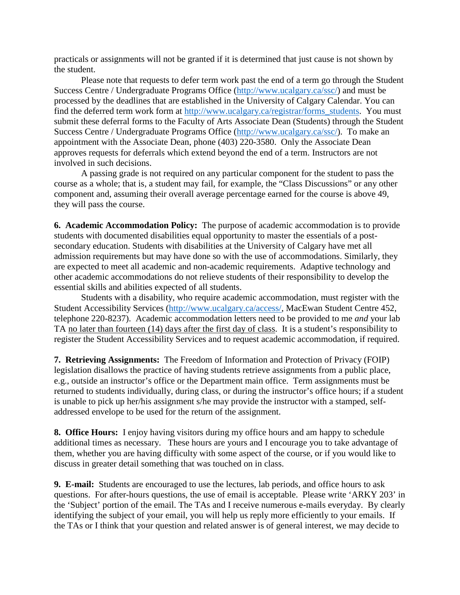practicals or assignments will not be granted if it is determined that just cause is not shown by the student.

Please note that requests to defer term work past the end of a term go through the Student Success Centre / Undergraduate Programs Office [\(http://www.ucalgary.ca/ssc/\)](http://www.ucalgary.ca/ssc/) and must be processed by the deadlines that are established in the University of Calgary Calendar. You can find the deferred term work form at [http://www.ucalgary.ca/registrar/forms\\_students.](http://www.ucalgary.ca/registrar/forms_students) You must submit these deferral forms to the Faculty of Arts Associate Dean (Students) through the Student Success Centre / Undergraduate Programs Office [\(http://www.ucalgary.ca/ssc/\)](http://www.ucalgary.ca/ssc/). To make an appointment with the Associate Dean, phone (403) 220-3580. Only the Associate Dean approves requests for deferrals which extend beyond the end of a term. Instructors are not involved in such decisions.

A passing grade is not required on any particular component for the student to pass the course as a whole; that is, a student may fail, for example, the "Class Discussions" or any other component and, assuming their overall average percentage earned for the course is above 49, they will pass the course.

**6. Academic Accommodation Policy:** The purpose of academic accommodation is to provide students with documented disabilities equal opportunity to master the essentials of a postsecondary education. Students with disabilities at the University of Calgary have met all admission requirements but may have done so with the use of accommodations. Similarly, they are expected to meet all academic and non-academic requirements. Adaptive technology and other academic accommodations do not relieve students of their responsibility to develop the essential skills and abilities expected of all students.

Students with a disability, who require academic accommodation, must register with the Student Accessibility Services [\(http://www.ucalgary.ca/access/,](http://www.ucalgary.ca/access/) MacEwan Student Centre 452, telephone 220-8237). Academic accommodation letters need to be provided to me *and* your lab TA no later than fourteen (14) days after the first day of class. It is a student's responsibility to register the Student Accessibility Services and to request academic accommodation, if required.

**7. Retrieving Assignments:** The Freedom of Information and Protection of Privacy (FOIP) legislation disallows the practice of having students retrieve assignments from a public place, e.g., outside an instructor's office or the Department main office. Term assignments must be returned to students individually, during class, or during the instructor's office hours; if a student is unable to pick up her/his assignment s/he may provide the instructor with a stamped, selfaddressed envelope to be used for the return of the assignment.

**8. Office Hours:**I enjoy having visitors during my office hours and am happy to schedule additional times as necessary. These hours are yours and I encourage you to take advantage of them, whether you are having difficulty with some aspect of the course, or if you would like to discuss in greater detail something that was touched on in class.

**9. E-mail:** Students are encouraged to use the lectures, lab periods, and office hours to ask questions. For after-hours questions, the use of email is acceptable. Please write 'ARKY 203' in the 'Subject' portion of the email. The TAs and I receive numerous e-mails everyday. By clearly identifying the subject of your email, you will help us reply more efficiently to your emails. If the TAs or I think that your question and related answer is of general interest, we may decide to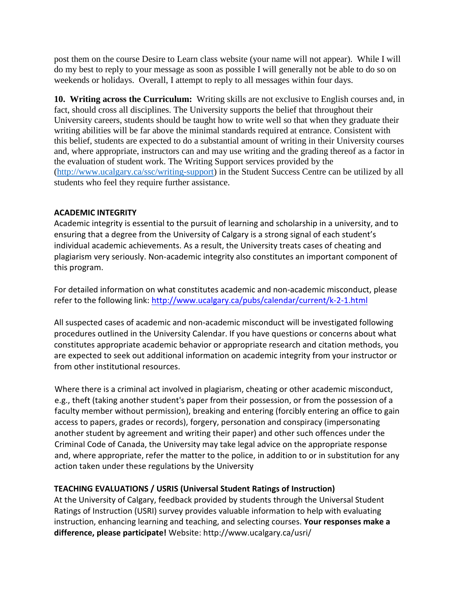post them on the course Desire to Learn class website (your name will not appear). While I will do my best to reply to your message as soon as possible I will generally not be able to do so on weekends or holidays. Overall, I attempt to reply to all messages within four days.

**10. Writing across the Curriculum:** Writing skills are not exclusive to English courses and, in fact, should cross all disciplines. The University supports the belief that throughout their University careers, students should be taught how to write well so that when they graduate their writing abilities will be far above the minimal standards required at entrance. Consistent with this belief, students are expected to do a substantial amount of writing in their University courses and, where appropriate, instructors can and may use writing and the grading thereof as a factor in the evaluation of student work. The Writing Support services provided by the [\(http://www.ucalgary.ca/ssc/writing-support\)](http://www.ucalgary.ca/ssc/writing-support) in the Student Success Centre can be utilized by all students who feel they require further assistance.

#### **ACADEMIC INTEGRITY**

Academic integrity is essential to the pursuit of learning and scholarship in a university, and to ensuring that a degree from the University of Calgary is a strong signal of each student's individual academic achievements. As a result, the University treats cases of cheating and plagiarism very seriously. Non-academic integrity also constitutes an important component of this program.

For detailed information on what constitutes academic and non-academic misconduct, please refer to the following link:<http://www.ucalgary.ca/pubs/calendar/current/k-2-1.html>

All suspected cases of academic and non-academic misconduct will be investigated following procedures outlined in the University Calendar. If you have questions or concerns about what constitutes appropriate academic behavior or appropriate research and citation methods, you are expected to seek out additional information on academic integrity from your instructor or from other institutional resources.

Where there is a criminal act involved in plagiarism, cheating or other academic misconduct, e.g., theft (taking another student's paper from their possession, or from the possession of a faculty member without permission), breaking and entering (forcibly entering an office to gain access to papers, grades or records), forgery, personation and conspiracy (impersonating another student by agreement and writing their paper) and other such offences under the Criminal Code of Canada, the University may take legal advice on the appropriate response and, where appropriate, refer the matter to the police, in addition to or in substitution for any action taken under these regulations by the University

#### **TEACHING EVALUATIONS / USRIS (Universal Student Ratings of Instruction)**

At the University of Calgary, feedback provided by students through the Universal Student Ratings of Instruction (USRI) survey provides valuable information to help with evaluating instruction, enhancing learning and teaching, and selecting courses. **Your responses make a difference, please participate!** Website: http://www.ucalgary.ca/usri/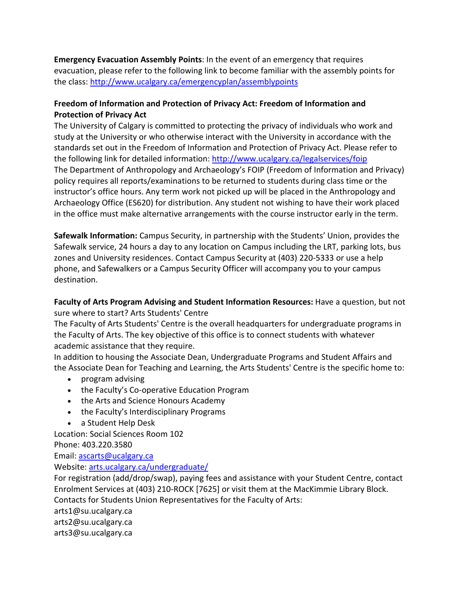**Emergency Evacuation Assembly Points**: In the event of an emergency that requires evacuation, please refer to the following link to become familiar with the assembly points for the class:<http://www.ucalgary.ca/emergencyplan/assemblypoints>

## **Freedom of Information and Protection of Privacy Act: Freedom of Information and Protection of Privacy Act**

The University of Calgary is committed to protecting the privacy of individuals who work and study at the University or who otherwise interact with the University in accordance with the standards set out in the Freedom of Information and Protection of Privacy Act. Please refer to the following link for detailed information:<http://www.ucalgary.ca/legalservices/foip> The Department of Anthropology and Archaeology's FOIP (Freedom of Information and Privacy) policy requires all reports/examinations to be returned to students during class time or the instructor's office hours. Any term work not picked up will be placed in the Anthropology and Archaeology Office (ES620) for distribution. Any student not wishing to have their work placed in the office must make alternative arrangements with the course instructor early in the term.

**Safewalk Information:** Campus Security, in partnership with the Students' Union, provides the Safewalk service, 24 hours a day to any location on Campus including the LRT, parking lots, bus zones and University residences. Contact Campus Security at (403) 220-5333 or use a help phone, and Safewalkers or a Campus Security Officer will accompany you to your campus destination.

**Faculty of Arts Program Advising and Student Information Resources:** Have a question, but not sure where to start? Arts Students' Centre

The Faculty of Arts Students' Centre is the overall headquarters for undergraduate programs in the Faculty of Arts. The key objective of this office is to connect students with whatever academic assistance that they require.

In addition to housing the Associate Dean, Undergraduate Programs and Student Affairs and the Associate Dean for Teaching and Learning, the Arts Students' Centre is the specific home to:

- program advising
- the Faculty's Co-operative Education Program
- the Arts and Science Honours Academy
- the Faculty's Interdisciplinary Programs
- a Student Help Desk

Location: Social Sciences Room 102

Phone: 403.220.3580

Email: [ascarts@ucalgary.ca](http://ucalgary.ca/pubs/calendar/current/ascarts@ucalgary.ca)

Website: [arts.ucalgary.ca/undergraduate/](http://arts.ucalgary.ca/undergraduate/)

For registration (add/drop/swap), paying fees and assistance with your Student Centre, contact Enrolment Services at (403) 210-ROCK [7625] or visit them at the MacKimmie Library Block. Contacts for Students Union Representatives for the Faculty of Arts:

arts1@su.ucalgary.ca

arts2@su.ucalgary.ca

arts3@su.ucalgary.ca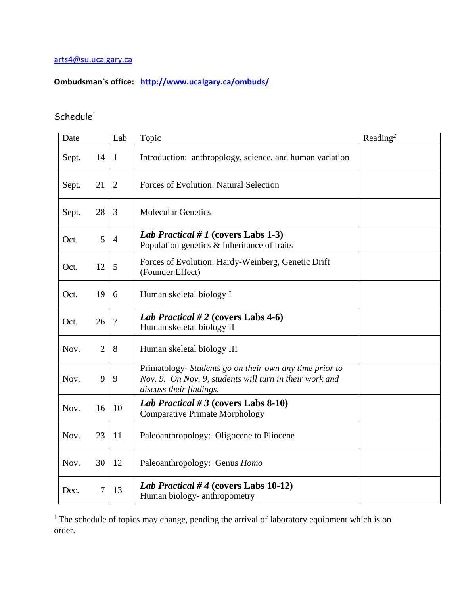## [arts4@su.ucalgary.ca](mailto:arts4@su.ucalgary.ca)

# **Ombudsman`s office: <http://www.ucalgary.ca/ombuds/>**

## $S$ chedule<sup>1</sup>

| Date  |                | Lab            | Topic                                                                                                                                         | Reading <sup>2</sup> |
|-------|----------------|----------------|-----------------------------------------------------------------------------------------------------------------------------------------------|----------------------|
| Sept. | 14             | 1              | Introduction: anthropology, science, and human variation                                                                                      |                      |
| Sept. | 21             | $\overline{2}$ | Forces of Evolution: Natural Selection                                                                                                        |                      |
| Sept. | 28             | 3              | <b>Molecular Genetics</b>                                                                                                                     |                      |
| Oct.  | 5              | $\overline{4}$ | <i>Lab Practical</i> # 1 (covers Labs 1-3)<br>Population genetics $\&$ Inheritance of traits                                                  |                      |
| Oct.  | 12             | 5              | Forces of Evolution: Hardy-Weinberg, Genetic Drift<br>(Founder Effect)                                                                        |                      |
| Oct.  | 19             | 6              | Human skeletal biology I                                                                                                                      |                      |
| Oct.  | 26             | $\tau$         | Lab Practical # 2 (covers Labs 4-6)<br>Human skeletal biology II                                                                              |                      |
| Nov.  | $\overline{2}$ | 8              | Human skeletal biology III                                                                                                                    |                      |
| Nov.  | 9              | 9              | Primatology- Students go on their own any time prior to<br>Nov. 9. On Nov. 9, students will turn in their work and<br>discuss their findings. |                      |
| Nov.  | 16             | 10             | Lab Practical # 3 (covers Labs 8-10)<br><b>Comparative Primate Morphology</b>                                                                 |                      |
| Nov.  | 23             | 11             | Paleoanthropology: Oligocene to Pliocene                                                                                                      |                      |
| Nov.  | 30             | 12             | Paleoanthropology: Genus Homo                                                                                                                 |                      |
| Dec.  | 7              | 13             | Lab Practical #4 (covers Labs 10-12)<br>Human biology- anthropometry                                                                          |                      |

<sup>1</sup> The schedule of topics may change, pending the arrival of laboratory equipment which is on order.